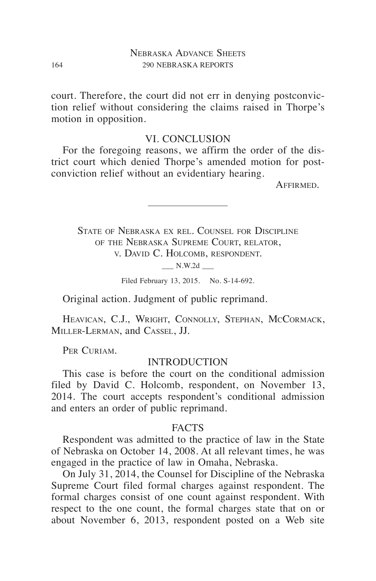court. Therefore, the court did not err in denying postconviction relief without considering the claims raised in Thorpe's motion in opposition.

### VI. CONCLUSION

For the foregoing reasons, we affirm the order of the district court which denied Thorpe's amended motion for postconviction relief without an evidentiary hearing.

Affirmed.

State of Nebraska ex rel. Counsel for Discipline of the Nebraska Supreme Court, relator, v. David C. Holcomb, respondent.

 $\_\_$  N.W.2d  $\_\_$ 

Filed February 13, 2015. No. S-14-692.

Original action. Judgment of public reprimand.

HEAVICAN, C.J., WRIGHT, CONNOLLY, STEPHAN, MCCORMACK, Miller-Lerman, and Cassel, JJ.

PER CURIAM.

## **INTRODUCTION**

This case is before the court on the conditional admission filed by David C. Holcomb, respondent, on November 13, 2014. The court accepts respondent's conditional admission and enters an order of public reprimand.

#### FACTS

Respondent was admitted to the practice of law in the State of Nebraska on October 14, 2008. At all relevant times, he was engaged in the practice of law in Omaha, Nebraska.

On July 31, 2014, the Counsel for Discipline of the Nebraska Supreme Court filed formal charges against respondent. The formal charges consist of one count against respondent. With respect to the one count, the formal charges state that on or about November 6, 2013, respondent posted on a Web site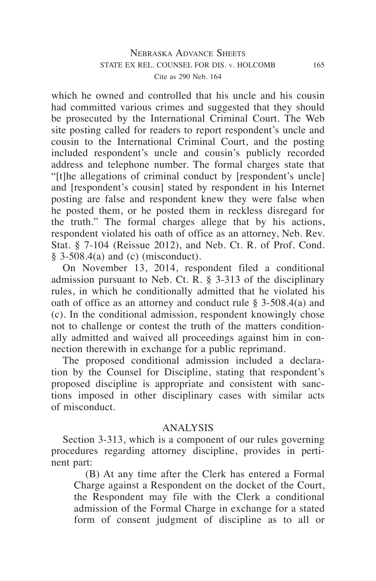which he owned and controlled that his uncle and his cousin had committed various crimes and suggested that they should be prosecuted by the International Criminal Court. The Web site posting called for readers to report respondent's uncle and cousin to the International Criminal Court, and the posting included respondent's uncle and cousin's publicly recorded address and telephone number. The formal charges state that "[t]he allegations of criminal conduct by [respondent's uncle] and [respondent's cousin] stated by respondent in his Internet posting are false and respondent knew they were false when he posted them, or he posted them in reckless disregard for the truth." The formal charges allege that by his actions, respondent violated his oath of office as an attorney, Neb. Rev. Stat. § 7-104 (Reissue 2012), and Neb. Ct. R. of Prof. Cond.  $§$  3-508.4(a) and (c) (misconduct).

On November 13, 2014, respondent filed a conditional admission pursuant to Neb. Ct. R.  $\S$  3-313 of the disciplinary rules, in which he conditionally admitted that he violated his oath of office as an attorney and conduct rule § 3-508.4(a) and (c). In the conditional admission, respondent knowingly chose not to challenge or contest the truth of the matters conditionally admitted and waived all proceedings against him in connection therewith in exchange for a public reprimand.

The proposed conditional admission included a declaration by the Counsel for Discipline, stating that respondent's proposed discipline is appropriate and consistent with sanctions imposed in other disciplinary cases with similar acts of misconduct.

# ANALYSIS

Section 3-313, which is a component of our rules governing procedures regarding attorney discipline, provides in pertinent part:

(B) At any time after the Clerk has entered a Formal Charge against a Respondent on the docket of the Court, the Respondent may file with the Clerk a conditional admission of the Formal Charge in exchange for a stated form of consent judgment of discipline as to all or